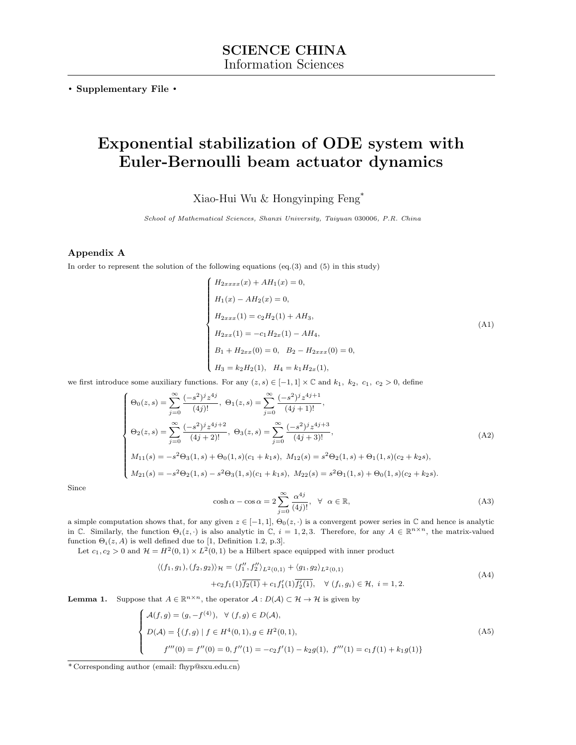. Supplementary File .

# Exponential stabilization of ODE system with Euler-Bernoulli beam actuator dynamics

Xiao-Hui Wu & Hongyinping Feng\*

School of Mathematical Sciences, Shanxi University, Taiyuan 030006, P.R. China

## Appendix A

In order to represent the solution of the following equations (eq.(3) and (5) in this study)

<span id="page-0-1"></span>
$$
\begin{cases}\nH_{2xxxx}(x) + AH_1(x) = 0, \\
H_1(x) - AH_2(x) = 0, \\
H_{2xxx}(1) = c_2H_2(1) + AH_3, \\
H_{2xx}(1) = -c_1H_{2x}(1) - AH_4, \\
B_1 + H_{2xx}(0) = 0, \quad B_2 - H_{2xxx}(0) = 0, \\
H_3 = k_2H_2(1), \quad H_4 = k_1H_{2x}(1),\n\end{cases}
$$
\n(A1)

we first introduce some auxiliary functions. For any  $(z, s) \in [-1, 1] \times \mathbb{C}$  and  $k_1$ ,  $k_2$ ,  $c_1$ ,  $c_2 > 0$ , define

<span id="page-0-0"></span>
$$
\begin{cases}\n\Theta_{0}(z,s) = \sum_{j=0}^{\infty} \frac{(-s^{2})^{j} z^{4j}}{(4j)!}, \ \Theta_{1}(z,s) = \sum_{j=0}^{\infty} \frac{(-s^{2})^{j} z^{4j+1}}{(4j+1)!}, \\
\Theta_{2}(z,s) = \sum_{j=0}^{\infty} \frac{(-s^{2})^{j} z^{4j+2}}{(4j+2)!}, \ \Theta_{3}(z,s) = \sum_{j=0}^{\infty} \frac{(-s^{2})^{j} z^{4j+3}}{(4j+3)!}, \\
M_{11}(s) = -s^{2} \Theta_{3}(1,s) + \Theta_{0}(1,s)(c_{1} + k_{1}s), \ M_{12}(s) = s^{2} \Theta_{2}(1,s) + \Theta_{1}(1,s)(c_{2} + k_{2}s), \\
M_{21}(s) = -s^{2} \Theta_{2}(1,s) - s^{2} \Theta_{3}(1,s)(c_{1} + k_{1}s), \ M_{22}(s) = s^{2} \Theta_{1}(1,s) + \Theta_{0}(1,s)(c_{2} + k_{2}s).\n\end{cases}
$$
\n(A2)

Since

$$
\cosh \alpha - \cos \alpha = 2 \sum_{j=0}^{\infty} \frac{\alpha^{4j}}{(4j)!}, \quad \forall \alpha \in \mathbb{R},
$$
\n(A3)

a simple computation shows that, for any given  $z \in [-1,1]$ ,  $\Theta_0(z, \cdot)$  is a convergent power series in C and hence is analytic in C. Similarly, the function  $\Theta_i(z, \cdot)$  is also analytic in C,  $i = 1, 2, 3$ . Therefore, for any  $A \in \mathbb{R}^{n \times n}$ , the matrix-valued function  $\Theta_i(z, A)$  is well defined due to [\[1,](#page-6-0) Definition 1.2, p.3].

Let  $c_1, c_2 > 0$  and  $\mathcal{H} = H^2(0,1) \times L^2(0,1)$  be a Hilbert space equipped with inner product

$$
\langle (f_1, g_1), (f_2, g_2) \rangle_{\mathcal{H}} = \langle f_1'', f_2'' \rangle_{L^2(0,1)} + \langle g_1, g_2 \rangle_{L^2(0,1)} + c_2 f_1(1) \overline{f_2(1)} + c_1 f_1'(1) \overline{f_2'(1)}, \quad \forall (f_i, g_i) \in \mathcal{H}, \ i = 1, 2.
$$
\n(A4)

<span id="page-0-3"></span>**Lemma 1.** Suppose that  $A \in \mathbb{R}^{n \times n}$ , the operator  $A : D(A) \subset \mathcal{H} \to \mathcal{H}$  is given by

<span id="page-0-2"></span>
$$
\begin{cases}\n\mathcal{A}(f,g) = (g, -f^{(4)}), \quad \forall \ (f,g) \in D(\mathcal{A}), \\
D(\mathcal{A}) = \{(f,g) \mid f \in H^4(0,1), g \in H^2(0,1), \\
f'''(0) = f''(0) = 0, f''(1) = -c_2 f'(1) - k_2 g(1), \ f'''(1) = c_1 f(1) + k_1 g(1)\}\n\end{cases}
$$
\n(A5)

<sup>\*</sup> Corresponding author (email: fhyp@sxu.edu.cn)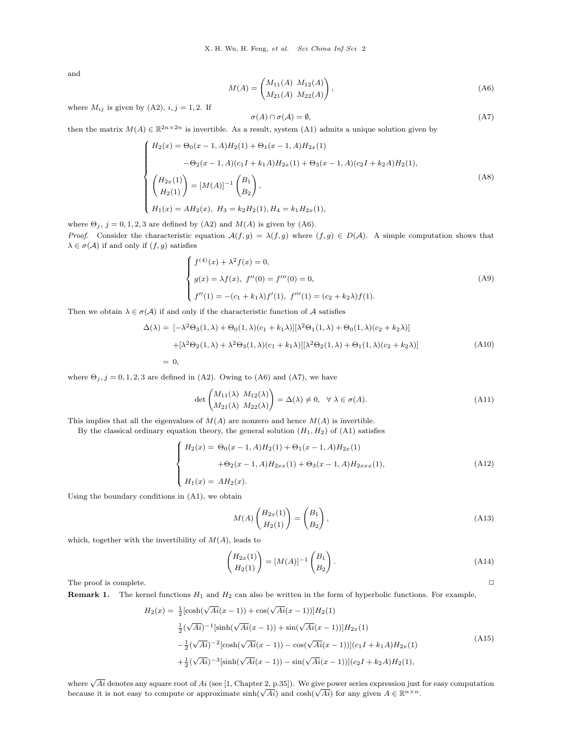and

<span id="page-1-0"></span>
$$
M(A) = \begin{pmatrix} M_{11}(A) & M_{12}(A) \\ M_{21}(A) & M_{22}(A) \end{pmatrix},
$$
 (A6)

where  $M_{ij}$  is given by [\(A2\)](#page-0-0),  $i, j = 1, 2$ . If

<span id="page-1-1"></span>
$$
\sigma(A) \cap \sigma(A) = \emptyset, \tag{A7}
$$

then the matrix  $M(A) \in \mathbb{R}^{2n \times 2n}$  is invertible. As a result, system [\(A1\)](#page-0-1) admits a unique solution given by

<span id="page-1-2"></span>
$$
\begin{cases}\nH_2(x) = \Theta_0(x-1, A)H_2(1) + \Theta_1(x-1, A)H_{2x}(1) \\
-\Theta_2(x-1, A)(c_1I + k_1A)H_{2x}(1) + \Theta_3(x-1, A)(c_2I + k_2A)H_2(1), \\
\begin{pmatrix} H_{2x}(1) \\
H_2(1) \end{pmatrix} = [M(A)]^{-1} \begin{pmatrix} B_1 \\
B_2 \end{pmatrix}, \\
H_1(x) = AH_2(x), H_3 = k_2H_2(1), H_4 = k_1H_{2x}(1),\n\end{cases}
$$
\n(A8)

where  $\Theta_j$ ,  $j = 0, 1, 2, 3$  are defined by [\(A2\)](#page-0-0) and  $M(A)$  is given by [\(A6\)](#page-1-0). *Proof.* Consider the characteristic equation  $A(f,g) = \lambda(f,g)$  where  $(f,g) \in D(A)$ . A simple computation shows that  $\lambda \in \sigma(\mathcal{A})$  if and only if  $(f, g)$  satisfies

$$
\begin{cases}\nf^{(4)}(x) + \lambda^2 f(x) = 0, \\
g(x) = \lambda f(x), \ f''(0) = f'''(0) = 0, \\
f''(1) = -(c_1 + k_1 \lambda) f'(1), \ f'''(1) = (c_2 + k_2 \lambda) f(1).\n\end{cases}
$$
\n(A9)

Then we obtain  $\lambda \in \sigma(\mathcal{A})$  if and only if the characteristic function of  $\mathcal{A}$  satisfies

$$
\Delta(\lambda) = [-\lambda^2 \Theta_3(1, \lambda) + \Theta_0(1, \lambda)(c_1 + k_1 \lambda)][\lambda^2 \Theta_1(1, \lambda) + \Theta_0(1, \lambda)(c_2 + k_2 \lambda)]
$$
  
+ 
$$
[\lambda^2 \Theta_2(1, \lambda) + \lambda^2 \Theta_3(1, \lambda)(c_1 + k_1 \lambda)][\lambda^2 \Theta_2(1, \lambda) + \Theta_1(1, \lambda)(c_2 + k_2 \lambda)]
$$
  
= 0, (A10)

where  $\Theta_j$ ,  $j = 0, 1, 2, 3$  are defined in [\(A2\)](#page-0-0). Owing to [\(A6\)](#page-1-0) and [\(A7\)](#page-1-1), we have

<span id="page-1-3"></span>
$$
\det \begin{pmatrix} M_{11}(\lambda) & M_{12}(\lambda) \\ M_{21}(\lambda) & M_{22}(\lambda) \end{pmatrix} = \Delta(\lambda) \neq 0, \quad \forall \lambda \in \sigma(A). \tag{A11}
$$

This implies that all the eigenvalues of  $M(A)$  are nonzero and hence  $M(A)$  is invertible.

By the classical ordinary equation theory, the general solution  $(H_1, H_2)$  of  $(A1)$  satisfies

$$
\begin{cases}\nH_2(x) = \Theta_0(x-1, A)H_2(1) + \Theta_1(x-1, A)H_{2x}(1) \\
+ \Theta_2(x-1, A)H_{2xx}(1) + \Theta_3(x-1, A)H_{2xxx}(1), \\
H_1(x) = AH_2(x).\n\end{cases}
$$
\n(A12)

Using the boundary conditions in [\(A1\)](#page-0-1), we obtain

<span id="page-1-4"></span>
$$
M(A) \begin{pmatrix} H_{2x}(1) \\ H_2(1) \end{pmatrix} = \begin{pmatrix} B_1 \\ B_2 \end{pmatrix},
$$
\n(A13)

which, together with the invertibility of  $M(A)$ , leads to

$$
\begin{pmatrix} H_{2x}(1) \\ H_2(1) \end{pmatrix} = [M(A)]^{-1} \begin{pmatrix} B_1 \\ B_2 \end{pmatrix}.
$$
\n(A14)

The proof is complete.  $\Box$ 

**Remark 1.** The kernel functions  $H_1$  and  $H_2$  can also be written in the form of hyperbolic functions. For example,

$$
H_2(x) = \frac{1}{2} [\cosh(\sqrt{Ai}(x-1)) + \cos(\sqrt{Ai}(x-1))] H_2(1)
$$
  
\n
$$
\frac{1}{2} (\sqrt{Ai})^{-1} [\sinh(\sqrt{Ai}(x-1)) + \sin(\sqrt{Ai}(x-1))] H_{2x}(1)
$$
  
\n
$$
-\frac{1}{2} (\sqrt{Ai})^{-2} [\cosh(\sqrt{Ai}(x-1)) - \cos(\sqrt{Ai}(x-1))] (c_1 I + k_1 A) H_{2x}(1)
$$
  
\n
$$
+\frac{1}{2} (\sqrt{Ai})^{-3} [\sinh(\sqrt{Ai}(x-1)) - \sin(\sqrt{Ai}(x-1))] (c_2 I + k_2 A) H_2(1),
$$
\n(A15)

where  $\sqrt{Ai}$  denotes any square root of  $Ai$  (see [\[1,](#page-6-0) Chapter 2, p.35]). We give power series expression just for easy computation where  $\sqrt{A}i$  denotes any square root of  $Ai$  (see [1, Chapter 2, p.33]). We give power series expression just because it is not easy to compute or approximate  $\sinh(\sqrt{A}i)$  and  $\cosh(\sqrt{A}i)$  for any given  $A \in \mathbb{R}^{n \times n}$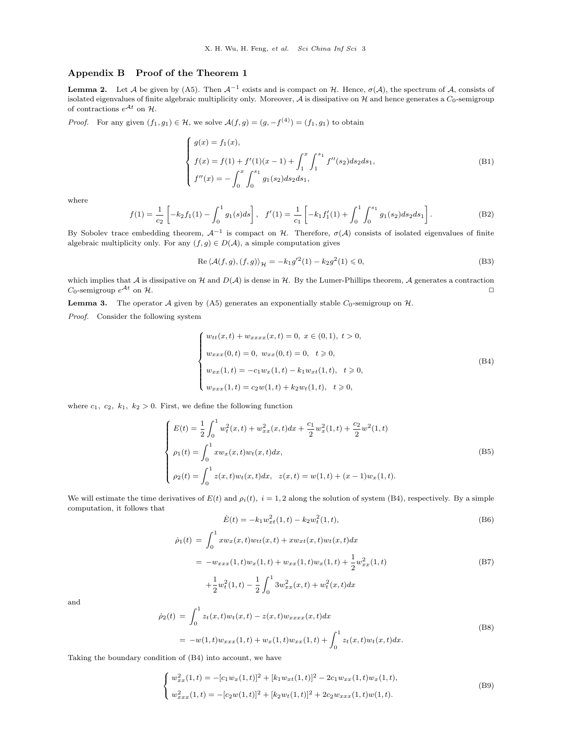### Appendix B Proof of the Theorem 1

**Lemma 2.** Let A be given by [\(A5\)](#page-0-2). Then  $\mathcal{A}^{-1}$  exists and is compact on H. Hence,  $\sigma(\mathcal{A})$ , the spectrum of A, consists of isolated eigenvalues of finite algebraic multiplicity only. Moreover,  $A$  is dissipative on  $H$  and hence generates a  $C_0$ -semigroup of contractions  $e^{\mathcal{A}t}$  on  $\mathcal{H}$ .

*Proof.* For any given  $(f_1, g_1) \in \mathcal{H}$ , we solve  $\mathcal{A}(f,g) = (g, -f^{(4)}) = (f_1, g_1)$  to obtain

$$
\begin{cases}\ng(x) = f_1(x), \\
f(x) = f(1) + f'(1)(x - 1) + \int_1^x \int_1^{s_1} f''(s_2) ds_2 ds_1, \\
f''(x) = -\int_0^x \int_0^{s_1} g_1(s_2) ds_2 ds_1,\n\end{cases}
$$
\n(B1)

where

$$
f(1) = \frac{1}{c_2} \left[ -k_2 f_1(1) - \int_0^1 g_1(s) ds \right], \quad f'(1) = \frac{1}{c_1} \left[ -k_1 f'_1(1) + \int_0^1 \int_0^{s_1} g_1(s_2) ds_2 ds_1 \right].
$$
 (B2)

By Sobolev trace embedding theorem,  $\mathcal{A}^{-1}$  is compact on H. Therefore,  $\sigma(\mathcal{A})$  consists of isolated eigenvalues of finite algebraic multiplicity only. For any  $(f, g) \in D(\mathcal{A})$ , a simple computation gives

$$
\operatorname{Re}\left\langle \mathcal{A}(f,g),(f,g)\right\rangle_{\mathcal{H}} = -k_1 g'^2(1) - k_2 g^2(1) \leq 0,
$$
\n(B3)

which implies that A is dissipative on H and  $D(\mathcal{A})$  is dense in H. By the Lumer-Phillips theorem, A generates a contraction  $C_0$ -semigroup  $e^{At}$  on  $H$ .

<span id="page-2-6"></span>**Lemma 3.** The operator A given by [\(A5\)](#page-0-2) generates an exponentially stable  $C_0$ -semigroup on  $H$ .

Proof. Consider the following system

<span id="page-2-0"></span>
$$
\begin{cases}\nw_{tt}(x,t) + w_{xxxx}(x,t) = 0, \ x \in (0,1), \ t > 0, \\
w_{xxx}(0,t) = 0, \ w_{xx}(0,t) = 0, \ t \geqslant 0, \\
w_{xx}(1,t) = -c_1 w_x(1,t) - k_1 w_{xt}(1,t), \ t \geqslant 0, \\
w_{xxx}(1,t) = c_2 w(1,t) + k_2 w_t(1,t), \ t \geqslant 0,\n\end{cases}
$$
\n(B4)

where  $c_1, c_2, k_1, k_2 > 0$ . First, we define the following function

<span id="page-2-4"></span>
$$
\begin{cases}\nE(t) = \frac{1}{2} \int_0^1 w_t^2(x, t) + w_{xx}^2(x, t) dx + \frac{c_1}{2} w_x^2(1, t) + \frac{c_2}{2} w^2(1, t) \\
\rho_1(t) = \int_0^1 x w_x(x, t) w_t(x, t) dx, \\
\rho_2(t) = \int_0^1 z(x, t) w_t(x, t) dx, \quad z(x, t) = w(1, t) + (x - 1) w_x(1, t).\n\end{cases}
$$
\n(B5)

We will estimate the time derivatives of  $E(t)$  and  $\rho_i(t)$ ,  $i = 1, 2$  along the solution of system [\(B4\)](#page-2-0), respectively. By a simple computation, it follows that

<span id="page-2-5"></span>
$$
\dot{E}(t) = -k_1 w_{xt}^2(1, t) - k_2 w_t^2(1, t),
$$
\n(B6)

<span id="page-2-2"></span>
$$
\dot{\rho}_1(t) = \int_0^1 x w_x(x, t) w_{tt}(x, t) + x w_{xt}(x, t) w_t(x, t) dx
$$
  
\n
$$
= -w_{xxx}(1, t) w_x(1, t) + w_{xx}(1, t) w_x(1, t) + \frac{1}{2} w_{xx}^2(1, t)
$$
  
\n
$$
+ \frac{1}{2} w_t^2(1, t) - \frac{1}{2} \int_0^1 3w_{xx}^2(x, t) + w_t^2(x, t) dx
$$
\n(B7)

and

<span id="page-2-3"></span>
$$
\dot{\rho}_2(t) = \int_0^1 z_t(x,t) w_t(x,t) - z(x,t) w_{xxxx}(x,t) dx
$$
  
=  $-w(1,t) w_{xxx}(1,t) + w_x(1,t) w_{xx}(1,t) + \int_0^1 z_t(x,t) w_t(x,t) dx.$  (B8)

Taking the boundary condition of [\(B4\)](#page-2-0) into account, we have

<span id="page-2-1"></span>
$$
\begin{cases}\nw_{xx}^2(1,t) = -[c_1w_x(1,t)]^2 + [k_1w_{xt}(1,t)]^2 - 2c_1w_{xx}(1,t)w_x(1,t),\nw_{xxx}^2(1,t) = -[c_2w(1,t)]^2 + [k_2w_t(1,t)]^2 + 2c_2w_{xxx}(1,t)w(1,t).\n\end{cases}
$$
\n(B9)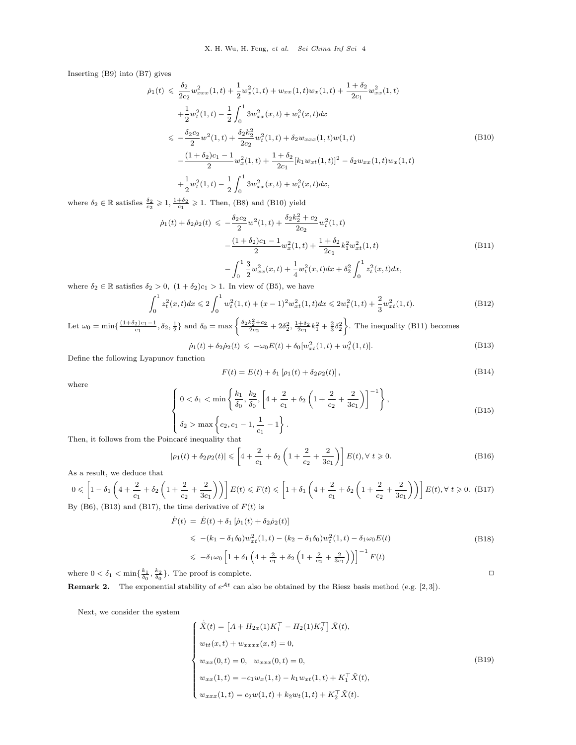Inserting [\(B9\)](#page-2-1) into [\(B7\)](#page-2-2) gives

<span id="page-3-0"></span>
$$
\dot{\rho}_{1}(t) \leq \frac{\delta_{2}}{2c_{2}} w_{xxx}^{2}(1,t) + \frac{1}{2} w_{x}^{2}(1,t) + w_{xx}(1,t)w_{x}(1,t) + \frac{1+\delta_{2}}{2c_{1}} w_{xx}^{2}(1,t) \n+ \frac{1}{2} w_{t}^{2}(1,t) - \frac{1}{2} \int_{0}^{1} 3w_{xx}^{2}(x,t) + w_{t}^{2}(x,t)dx \n\leq -\frac{\delta_{2}c_{2}}{2} w^{2}(1,t) + \frac{\delta_{2}k_{2}^{2}}{2c_{2}} w_{t}^{2}(1,t) + \delta_{2}w_{xxx}(1,t)w(1,t) \n- \frac{(1+\delta_{2})c_{1} - 1}{2} w_{x}^{2}(1,t) + \frac{1+\delta_{2}}{2c_{1}} [k_{1}w_{xt}(1,t)]^{2} - \delta_{2}w_{xx}(1,t)w_{x}(1,t) \n+ \frac{1}{2} w_{t}^{2}(1,t) - \frac{1}{2} \int_{0}^{1} 3w_{xx}^{2}(x,t) + w_{t}^{2}(x,t)dx,
$$
\n(A.1)

where  $\delta_2 \in \mathbb{R}$  satisfies  $\frac{\delta_2}{c_2} \geqslant 1, \frac{1+\delta_2}{c_1} \geqslant 1$ . Then, [\(B8\)](#page-2-3) and [\(B10\)](#page-3-0) yield

<span id="page-3-1"></span>
$$
\dot{\rho}_1(t) + \delta_2 \dot{\rho}_2(t) \leqslant -\frac{\delta_2 c_2}{2} w^2 (1, t) + \frac{\delta_2 k_2^2 + c_2}{2c_2} w_t^2 (1, t) \n- \frac{(1 + \delta_2)c_1 - 1}{2} w_x^2 (1, t) + \frac{1 + \delta_2}{2c_1} k_1^2 w_{xt}^2 (1, t) \n- \int_0^1 \frac{3}{2} w_{xx}^2 (x, t) + \frac{1}{4} w_t^2 (x, t) dx + \delta_2^2 \int_0^1 z_t^2 (x, t) dx,
$$
\n(B11)

where  $\delta_2 \in \mathbb{R}$  satisfies  $\delta_2 > 0$ ,  $(1 + \delta_2)c_1 > 1$ . In view of [\(B5\)](#page-2-4), we have

$$
\int_0^1 z_t^2(x,t)dx \le 2\int_0^1 w_t^2(1,t) + (x-1)^2 w_{xt}^2(1,t)dx \le 2w_t^2(1,t) + \frac{2}{3}w_{xt}^2(1,t).
$$
 (B12)

Let  $\omega_0 = \min\left\{\frac{(1+\delta_2)c_1 - 1}{c_1}, \delta_2, \frac{1}{2}\right\}$  and  $\delta_0 = \max\left\{\frac{\delta_2 k_2^2 + c_2}{2c_2} + 2\delta_2^2, \frac{1+\delta_2}{2c_1}k_1^2 + \frac{2}{3}\delta_2^2\right\}$ . The inequality [\(B11\)](#page-3-1) becomes

<span id="page-3-2"></span>
$$
\dot{\rho}_1(t) + \delta_2 \dot{\rho}_2(t) \leq -\omega_0 E(t) + \delta_0 [w_{xt}^2(1, t) + w_t^2(1, t)].
$$
\n(B13)

Define the following Lyapunov function

$$
F(t) = E(t) + \delta_1 [\rho_1(t) + \delta_2 \rho_2(t)],
$$
\n(B14)

where

$$
\begin{cases} 0 < \delta_1 < \min\left\{ \frac{k_1}{\delta_0}, \frac{k_2}{\delta_0}, \left[ 4 + \frac{2}{c_1} + \delta_2 \left( 1 + \frac{2}{c_2} + \frac{2}{3c_1} \right) \right]^{-1} \right\}, \\ \delta_2 > \max\left\{ c_2, c_1 - 1, \frac{1}{c_1} - 1 \right\}. \end{cases} \tag{B15}
$$

Then, it follows from the Poincaré inequality that

$$
|\rho_1(t) + \delta_2 \rho_2(t)| \le \left[4 + \frac{2}{c_1} + \delta_2 \left(1 + \frac{2}{c_2} + \frac{2}{3c_1}\right)\right] E(t), \forall t \ge 0.
$$
 (B16)

As a result, we deduce that

<span id="page-3-3"></span>
$$
0 \le \left[1 - \delta_1 \left(4 + \frac{2}{c_1} + \delta_2 \left(1 + \frac{2}{c_2} + \frac{2}{3c_1}\right)\right)\right] E(t) \le F(t) \le \left[1 + \delta_1 \left(4 + \frac{2}{c_1} + \delta_2 \left(1 + \frac{2}{c_2} + \frac{2}{3c_1}\right)\right)\right] E(t), \forall t \ge 0.
$$
 (B17)  
By (B6), (B13) and (B17), the time derivative of  $F(t)$  is

$$
\dot{F}(t) = \dot{E}(t) + \delta_1 [\dot{\rho}_1(t) + \delta_2 \dot{\rho}_2(t)]
$$
\n
$$
\leq - (k_1 - \delta_1 \delta_0) w_{xt}^2(1, t) - (k_2 - \delta_1 \delta_0) w_t^2(1, t) - \delta_1 \omega_0 E(t)
$$
\n
$$
\leq -\delta_1 \omega_0 \left[ 1 + \delta_1 \left( 4 + \frac{2}{c_1} + \delta_2 \left( 1 + \frac{2}{c_2} + \frac{2}{3c_1} \right) \right) \right]^{-1} F(t)
$$
\n(B18)

where  $0 < \delta_1 < \min\{\frac{k_1}{\delta_0}, \frac{k_2}{\delta_0}\}\.$  The proof is complete.

**Remark 2.** The exponential stability of  $e^{At}$  can also be obtained by the Riesz basis method (e.g. [\[2,](#page-6-1)[3\]](#page-6-2)).

Next, we consider the system

<span id="page-3-4"></span>
$$
\begin{cases}\n\dot{\tilde{X}}(t) = \left[A + H_{2x}(1)K_1^{\top} - H_2(1)K_2^{\top}\right]\tilde{X}(t), \\
w_{tt}(x, t) + w_{xxxx}(x, t) = 0, \\
w_{xx}(0, t) = 0, \quad w_{xxx}(0, t) = 0, \\
w_{xx}(1, t) = -c_1 w_x(1, t) - k_1 w_{xt}(1, t) + K_1^{\top} \tilde{X}(t), \\
w_{xxx}(1, t) = c_2 w(1, t) + k_2 w_t(1, t) + K_2^{\top} \tilde{X}(t).\n\end{cases}
$$
\n(B19)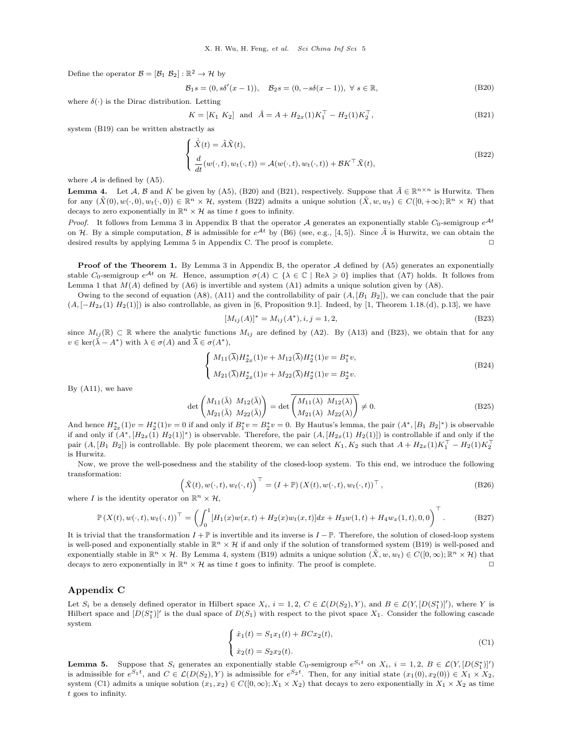Define the operator  $\mathcal{B} = [\mathcal{B}_1 \ \mathcal{B}_2] : \mathbb{R}^2 \to \mathcal{H}$  by

<span id="page-4-0"></span>
$$
\mathcal{B}_1 s = (0, s\delta'(x-1)), \quad \mathcal{B}_2 s = (0, -s\delta(x-1)), \ \forall \ s \in \mathbb{R},
$$
\n(B20)

where  $\delta(\cdot)$  is the Dirac distribution. Letting

<span id="page-4-1"></span>
$$
K = [K_1 \ K_2] \text{ and } \tilde{A} = A + H_{2x}(1)K_1^\top - H_2(1)K_2^\top,
$$
\n(B21)

system [\(B19\)](#page-3-4) can be written abstractly as

<span id="page-4-2"></span>
$$
\begin{cases}\n\dot{\tilde{X}}(t) = \tilde{A}\tilde{X}(t), \\
\frac{d}{dt}(w(\cdot, t), w_t(\cdot, t)) = \mathcal{A}(w(\cdot, t), w_t(\cdot, t)) + \mathcal{B}K^{\top}\tilde{X}(t),\n\end{cases}
$$
\n(B22)

where  $A$  is defined by  $(A5)$ .

<span id="page-4-5"></span>**Lemma 4.** Let  $A, B$  and K be given by [\(A5\)](#page-0-2), [\(B20\)](#page-4-0) and [\(B21\)](#page-4-1), respectively. Suppose that  $\tilde{A} \in \mathbb{R}^{n \times n}$  is Hurwitz. Then for any  $(\tilde{X}(0), w(\cdot, 0), w_t(\cdot, 0)) \in \mathbb{R}^n \times \mathcal{H}$ , system [\(B22\)](#page-4-2) admits a unique solution  $(\tilde{X}, w, w_t) \in C([0, +\infty); \mathbb{R}^n \times \mathcal{H})$  that decays to zero exponentially in  $\mathbb{R}^n \times \mathcal{H}$  as time t goes to infinity.

*Proof.* It follows from Lemma [3](#page-2-6) in Appendix B that the operator A generates an exponentially stable  $C_0$ -semigroup  $e^{At}$ on H. By a simple computation, B is admissible for  $e^{At}$  by [\(B6\)](#page-2-5) (see, e.g., [\[4,](#page-6-3)[5\]](#page-6-4)). Since  $\tilde{A}$  is Hurwitz, we can obtain the desired results by applying Lemma [5](#page-4-3) in Appendix C. The proof is complete. ✷

**Proof of the Theorem 1.** By Lemma [3](#page-2-6) in Appendix B, the operator  $\mathcal A$  defined by [\(A5\)](#page-0-2) generates an exponentially stable C<sub>0</sub>-semigroup  $e^{\mathcal{A}t}$  on H. Hence, assumption  $\sigma(A) \subset \{\lambda \in \mathbb{C} \mid \text{Re}\lambda \geq 0\}$  implies that [\(A7\)](#page-1-1) holds. It follows from Lemma [1](#page-0-3) that  $M(A)$  defined by  $(A6)$  is invertible and system  $(A1)$  admits a unique solution given by  $(A8)$ .

Owing to the second of equation [\(A8\)](#page-1-2), [\(A11\)](#page-1-3) and the controllability of pair  $(A, [B_1 B_2])$ , we can conclude that the pair  $(A, [-H_{2x}(1) H_2(1)])$  is also controllable, as given in [\[6,](#page-6-5) Proposition 9.1]. Indeed, by [\[1,](#page-6-0) Theorem 1.18.(d), p.13], we have

<span id="page-4-4"></span>
$$
[M_{ij}(A)]^* = M_{ij}(A^*), i, j = 1, 2,
$$
\n(B23)

since  $M_{ij}(\mathbb{R}) \subset \mathbb{R}$  where the analytic functions  $M_{ij}$  are defined by [\(A2\)](#page-0-0). By [\(A13\)](#page-1-4) and [\(B23\)](#page-4-4), we obtain that for any  $v \in \text{ker}(\bar{\lambda} - A^*)$  with  $\lambda \in \sigma(A)$  and  $\bar{\lambda} \in \sigma(A^*),$ 

$$
\begin{cases}\nM_{11}(\overline{\lambda})H_{2x}^*(1)v + M_{12}(\overline{\lambda})H_2^*(1)v = B_1^*v, \\
M_{21}(\overline{\lambda})H_{2x}^*(1)v + M_{22}(\overline{\lambda})H_2^*(1)v = B_2^*v.\n\end{cases}
$$
\n(B24)

By [\(A11\)](#page-1-3), we have

$$
\det\begin{pmatrix} M_{11}(\bar{\lambda}) & M_{12}(\bar{\lambda}) \\ M_{21}(\bar{\lambda}) & M_{22}(\bar{\lambda}) \end{pmatrix} = \det\begin{pmatrix} M_{11}(\lambda) & M_{12}(\lambda) \\ M_{21}(\lambda) & M_{22}(\lambda) \end{pmatrix} \neq 0.
$$
 (B25)

And hence  $H_{2x}^*(1)v = H_2^*(1)v = 0$  if and only if  $B_1^*v = B_2^*v = 0$ . By Hautus's lemma, the pair  $(A^*, [B_1 \ B_2]^*)$  is observable if and only if  $(A^*, [H_{2x}(1) H_2(1)]^*)$  is observable. Therefore, the pair  $(A, [H_{2x}(1) H_2(1)])$  is controllable if and only if the pair  $(A, [B_1 \ B_2])$  is controllable. By pole placement theorem, we can select  $K_1, K_2$  such that  $A + H_{2x}(1)K_1^{\top} - H_2(1)K_2^{\top}$ is Hurwitz.

Now, we prove the well-posedness and the stability of the closed-loop system. To this end, we introduce the following transformation:

$$
\left(\tilde{X}(t), w(\cdot, t), w_t(\cdot, t)\right)^{\top} = \left(I + \mathbb{P}\right)\left(X(t), w(\cdot, t), w_t(\cdot, t)\right)^{\top},\tag{B26}
$$

where I is the identity operator on  $\mathbb{R}^n \times \mathcal{H}$ ,

$$
\mathbb{P}\left(X(t),w(\cdot,t),w_t(\cdot,t)\right)^\top = \left(\int_0^1 [H_1(x)w(x,t) + H_2(x)w_t(x,t)]dx + H_3w(1,t) + H_4w_x(1,t),0,0\right)^\top. \tag{B27}
$$

It is trivial that the transformation  $I + \mathbb{P}$  is invertible and its inverse is  $I - \mathbb{P}$ . Therefore, the solution of closed-loop system is well-posed and exponentially stable in  $\mathbb{R}^n \times \mathcal{H}$  if and only if the solution of transformed system [\(B19\)](#page-3-4) is well-posed and exponentially stable in  $\mathbb{R}^n \times \mathcal{H}$ . By Lemma [4,](#page-4-5) system [\(B19\)](#page-3-4) admits a unique solution  $(\tilde{X}, w, w_t) \in C([0, \infty); \mathbb{R}^n \times \mathcal{H})$  that decays to zero exponentially in  $\mathbb{R}^n \times \mathcal{H}$  as time t goes to infinity. The proof is complete.

#### Appendix C

Let  $S_i$  be a densely defined operator in Hilbert space  $X_i$ ,  $i = 1, 2$ ,  $C \in \mathcal{L}(D(S_2), Y)$ , and  $B \in \mathcal{L}(Y, [D(S_1^*)]')$ , where Y is Hilbert space and  $[D(S_1^*)]'$  is the dual space of  $D(S_1)$  with respect to the pivot space  $X_1$ . Consider the following cascade system

<span id="page-4-6"></span>
$$
\begin{cases}\n\dot{x}_1(t) = S_1 x_1(t) + BC x_2(t), \\
\dot{x}_2(t) = S_2 x_2(t).\n\end{cases}
$$
\n(C1)

<span id="page-4-3"></span>**Lemma 5.** Suppose that  $S_i$  generates an exponentially stable  $C_0$ -semigroup  $e^{S_i t}$  on  $X_i$ ,  $i = 1, 2, B \in \mathcal{L}(Y, [D(S_1^*)]')$ is admissible for  $e^{S_1t}$ , and  $C \in \mathcal{L}(D(S_2), Y)$  is admissible for  $e^{S_2t}$ . Then, for any initial state  $(x_1(0), x_2(0)) \in X_1 \times X_2$ , system [\(C1\)](#page-4-6) admits a unique solution  $(x_1, x_2) \in C([0, \infty); X_1 \times X_2)$  that decays to zero exponentially in  $X_1 \times X_2$  as time t goes to infinity.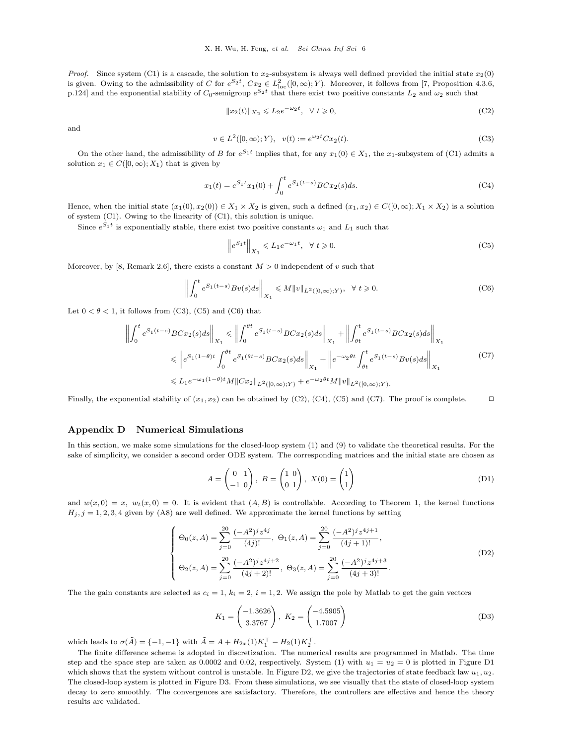*Proof.* Since system [\(C1\)](#page-4-6) is a cascade, the solution to  $x_2$ -subsystem is always well defined provided the initial state  $x_2(0)$ is given. Owing to the admissibility of C for  $e^{S_2t}$ ,  $Cx_2 \in L^2_{loc}([0,\infty);Y)$ . Moreover, it follows from [\[7,](#page-7-0) Proposition 4.3.6, p.124] and the exponential stability of  $C_0$ -semigroup  $e^{S_2 t}$  that there exist two positive constants  $L_2$  and  $\omega_2$  such that

<span id="page-5-3"></span>
$$
||x_2(t)||_{X_2} \leqslant L_2 e^{-\omega_2 t}, \quad \forall \ t \geqslant 0,
$$
\n<sup>(C2)</sup>

and

<span id="page-5-0"></span>
$$
v \in L^{2}([0, \infty); Y), \quad v(t) := e^{\omega_{2}t} C x_{2}(t).
$$
 (C3)

On the other hand, the admissibility of B for  $e^{S_1t}$  implies that, for any  $x_1(0) \in X_1$ , the  $x_1$ -subsystem of [\(C1\)](#page-4-6) admits a solution  $x_1 \in C([0,\infty);X_1)$  that is given by

<span id="page-5-4"></span>
$$
x_1(t) = e^{S_1 t} x_1(0) + \int_0^t e^{S_1(t-s)} BC x_2(s) ds.
$$
 (C4)

Hence, when the initial state  $(x_1(0), x_2(0)) \in X_1 \times X_2$  is given, such a defined  $(x_1, x_2) \in C([0, \infty); X_1 \times X_2)$  is a solution of system [\(C1\)](#page-4-6). Owing to the linearity of [\(C1\)](#page-4-6), this solution is unique.

Since  $e^{S_1 t}$  is exponentially stable, there exist two positive constants  $\omega_1$  and  $L_1$  such that

<span id="page-5-1"></span>
$$
\left\|e^{S_1t}\right\|_{X_1} \leqslant L_1 e^{-\omega_1 t}, \ \ \forall \ t \geqslant 0. \tag{C5}
$$

Moreover, by [\[8,](#page-7-1) Remark 2.6], there exists a constant  $M > 0$  independent of v such that

<span id="page-5-2"></span>
$$
\left\| \int_0^t e^{S_1(t-s)} B v(s) ds \right\|_{X_1} \le M \|v\|_{L^2([0,\infty);Y)}, \ \forall \ t \ge 0.
$$
 (C6)

Let  $0 < \theta < 1$ , it follows from [\(C3\)](#page-5-0), [\(C5\)](#page-5-1) and [\(C6\)](#page-5-2) that

<span id="page-5-5"></span>
$$
\left\| \int_{0}^{t} e^{S_{1}(t-s)} BCx_{2}(s) ds \right\|_{X_{1}} \leq \left\| \int_{0}^{\theta t} e^{S_{1}(t-s)} BCx_{2}(s) ds \right\|_{X_{1}} + \left\| \int_{\theta t}^{t} e^{S_{1}(t-s)} BCx_{2}(s) ds \right\|_{X_{1}}
$$
  

$$
\leq \left\| e^{S_{1}(1-\theta)t} \int_{0}^{\theta t} e^{S_{1}(\theta t-s)} BCx_{2}(s) ds \right\|_{X_{1}} + \left\| e^{-\omega_{2}\theta t} \int_{\theta t}^{t} e^{S_{1}(t-s)} Bv(s) ds \right\|_{X_{1}}
$$
  

$$
\leq L_{1} e^{-\omega_{1}(1-\theta)t} M \| Cx_{2} \|_{L^{2}([0,\infty);Y)} + e^{-\omega_{2}\theta t} M \| v \|_{L^{2}([0,\infty);Y)}.
$$
 (C7)

Finally, the exponential stability of  $(x_1, x_2)$  can be obtained by [\(C2\)](#page-5-3), [\(C4\)](#page-5-4), [\(C5\)](#page-5-1) and [\(C7\)](#page-5-5). The proof is complete.  $\Box$ 

#### Appendix D Numerical Simulations

In this section, we make some simulations for the closed-loop system (1) and (9) to validate the theoretical results. For the sake of simplicity, we consider a second order ODE system. The corresponding matrices and the initial state are chosen as

$$
A = \begin{pmatrix} 0 & 1 \\ -1 & 0 \end{pmatrix}, B = \begin{pmatrix} 1 & 0 \\ 0 & 1 \end{pmatrix}, X(0) = \begin{pmatrix} 1 \\ 1 \end{pmatrix}
$$
 (D1)

and  $w(x, 0) = x$ ,  $w_t(x, 0) = 0$ . It is evident that  $(A, B)$  is controllable. According to Theorem 1, the kernel functions  $H_j, j = 1, 2, 3, 4$  given by [\(A8\)](#page-1-2) are well defined. We approximate the kernel functions by setting

$$
\begin{cases}\n\Theta_0(z,A) = \sum_{j=0}^{20} \frac{(-A^2)^j z^{4j}}{(4j)!}, \ \Theta_1(z,A) = \sum_{j=0}^{20} \frac{(-A^2)^j z^{4j+1}}{(4j+1)!}, \\
\Theta_2(z,A) = \sum_{j=0}^{20} \frac{(-A^2)^j z^{4j+2}}{(4j+2)!}, \ \Theta_3(z,A) = \sum_{j=0}^{20} \frac{(-A^2)^j z^{4j+3}}{(4j+3)!}.\n\end{cases}
$$
\n(D2)

The the gain constants are selected as  $c_i = 1, k_i = 2, i = 1, 2$ . We assign the pole by Matlab to get the gain vectors

$$
K_1 = \begin{pmatrix} -1.3626 \\ 3.3767 \end{pmatrix}, \ K_2 = \begin{pmatrix} -4.5905 \\ 1.7007 \end{pmatrix}
$$
 (D3)

which leads to  $\sigma(\tilde{A}) = \{-1, -1\}$  with  $\tilde{A} = A + H_{2x}(1)K_1^{\top} - H_2(1)K_2^{\top}$ .

The finite difference scheme is adopted in discretization. The numerical results are programmed in Matlab. The time step and the space step are taken as 0.0002 and 0.02, respectively. System (1) with  $u_1 = u_2 = 0$  is plotted in Figure [D1](#page-6-6) which shows that the system without control is unstable. In Figure [D2,](#page-6-7) we give the trajectories of state feedback law  $u_1, u_2$ . The closed-loop system is plotted in Figure [D3.](#page-6-8) From these simulations, we see visually that the state of closed-loop system decay to zero smoothly. The convergences are satisfactory. Therefore, the controllers are effective and hence the theory results are validated.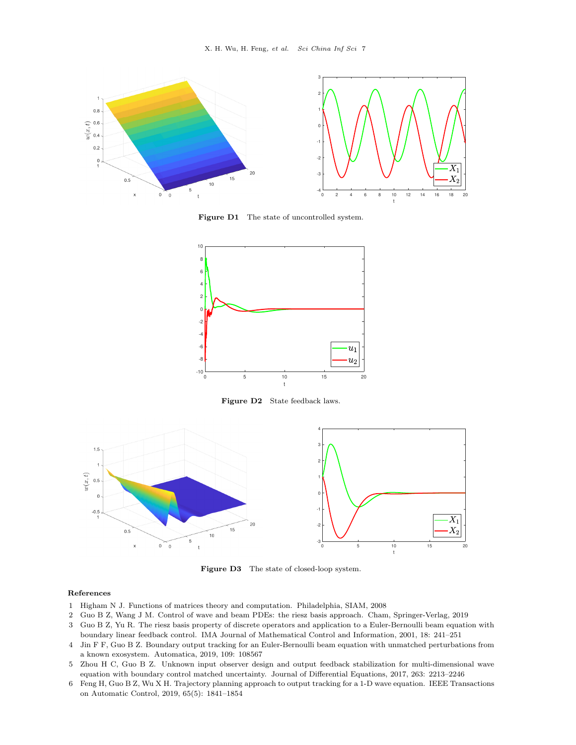<span id="page-6-6"></span>

Figure D1 The state of uncontrolled system.

<span id="page-6-7"></span>

Figure D2 State feedback laws.

<span id="page-6-8"></span>

Figure D3 The state of closed-loop system.

#### References

- <span id="page-6-0"></span>1 Higham N J. Functions of matrices theory and computation. Philadelphia, SIAM, 2008
- <span id="page-6-1"></span>2 Guo B Z, Wang J M. Control of wave and beam PDEs: the riesz basis approach. Cham, Springer-Verlag, 2019
- <span id="page-6-2"></span>3 Guo B Z, Yu R. The riesz basis property of discrete operators and application to a Euler-Bernoulli beam equation with boundary linear feedback control. IMA Journal of Mathematical Control and Information, 2001, 18: 241–251
- <span id="page-6-3"></span>4 Jin F F, Guo B Z. Boundary output tracking for an Euler-Bernoulli beam equation with unmatched perturbations from a known exosystem. Automatica, 2019, 109: 108567
- <span id="page-6-4"></span>5 Zhou H C, Guo B Z. Unknown input observer design and output feedback stabilization for multi-dimensional wave equation with boundary control matched uncertainty. Journal of Differential Equations, 2017, 263: 2213–2246
- <span id="page-6-5"></span>6 Feng H, Guo B Z, Wu X H. Trajectory planning approach to output tracking for a 1-D wave equation. IEEE Transactions on Automatic Control, 2019, 65(5): 1841–1854